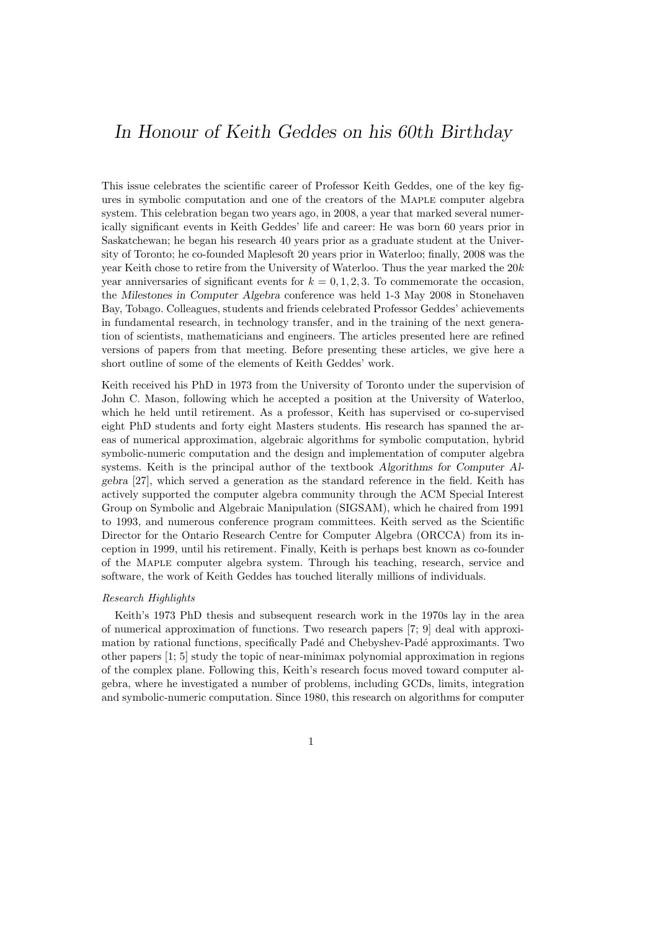# In Honour of Keith Geddes on his 60th Birthday

This issue celebrates the scientific career of Professor Keith Geddes, one of the key figures in symbolic computation and one of the creators of the Maple computer algebra system. This celebration began two years ago, in 2008, a year that marked several numerically significant events in Keith Geddes' life and career: He was born 60 years prior in Saskatchewan; he began his research 40 years prior as a graduate student at the University of Toronto; he co-founded Maplesoft 20 years prior in Waterloo; finally, 2008 was the year Keith chose to retire from the University of Waterloo. Thus the year marked the 20k year anniversaries of significant events for  $k = 0, 1, 2, 3$ . To commemorate the occasion, the Milestones in Computer Algebra conference was held 1-3 May 2008 in Stonehaven Bay, Tobago. Colleagues, students and friends celebrated Professor Geddes' achievements in fundamental research, in technology transfer, and in the training of the next generation of scientists, mathematicians and engineers. The articles presented here are refined versions of papers from that meeting. Before presenting these articles, we give here a short outline of some of the elements of Keith Geddes' work.

Keith received his PhD in 1973 from the University of Toronto under the supervision of John C. Mason, following which he accepted a position at the University of Waterloo, which he held until retirement. As a professor, Keith has supervised or co-supervised eight PhD students and forty eight Masters students. His research has spanned the areas of numerical approximation, algebraic algorithms for symbolic computation, hybrid symbolic-numeric computation and the design and implementation of computer algebra systems. Keith is the principal author of the textbook Algorithms for Computer Algebra [27], which served a generation as the standard reference in the field. Keith has actively supported the computer algebra community through the ACM Special Interest Group on Symbolic and Algebraic Manipulation (SIGSAM), which he chaired from 1991 to 1993, and numerous conference program committees. Keith served as the Scientific Director for the Ontario Research Centre for Computer Algebra (ORCCA) from its inception in 1999, until his retirement. Finally, Keith is perhaps best known as co-founder of the Maple computer algebra system. Through his teaching, research, service and software, the work of Keith Geddes has touched literally millions of individuals.

## Research Highlights

Keith's 1973 PhD thesis and subsequent research work in the 1970s lay in the area of numerical approximation of functions. Two research papers [7; 9] deal with approximation by rational functions, specifically Padé and Chebyshev-Padé approximants. Two other papers [1; 5] study the topic of near-minimax polynomial approximation in regions of the complex plane. Following this, Keith's research focus moved toward computer algebra, where he investigated a number of problems, including GCDs, limits, integration and symbolic-numeric computation. Since 1980, this research on algorithms for computer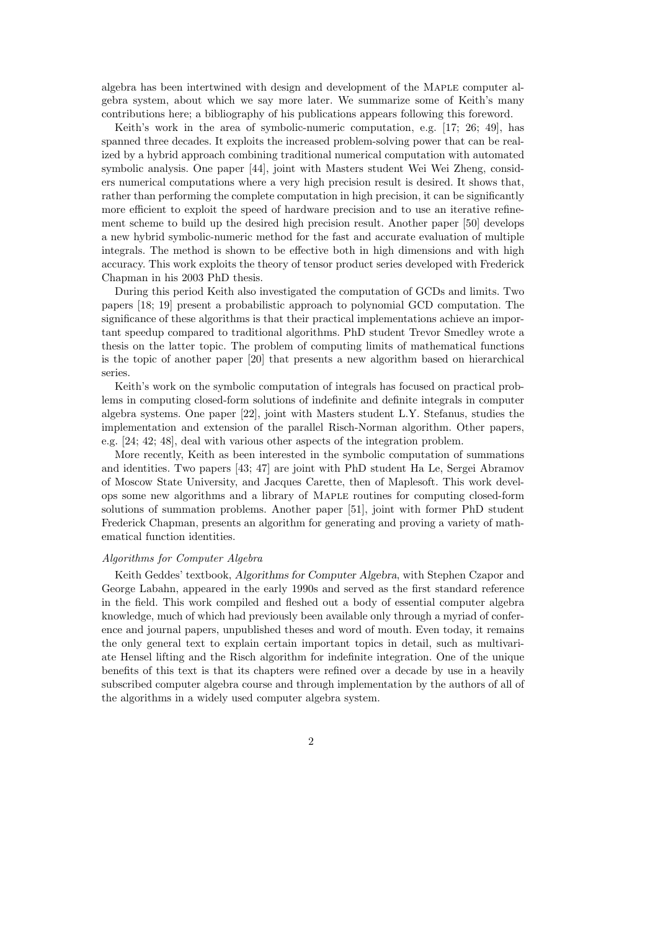algebra has been intertwined with design and development of the Maple computer algebra system, about which we say more later. We summarize some of Keith's many contributions here; a bibliography of his publications appears following this foreword.

Keith's work in the area of symbolic-numeric computation, e.g. [17; 26; 49], has spanned three decades. It exploits the increased problem-solving power that can be realized by a hybrid approach combining traditional numerical computation with automated symbolic analysis. One paper [44], joint with Masters student Wei Wei Zheng, considers numerical computations where a very high precision result is desired. It shows that, rather than performing the complete computation in high precision, it can be significantly more efficient to exploit the speed of hardware precision and to use an iterative refinement scheme to build up the desired high precision result. Another paper [50] develops a new hybrid symbolic-numeric method for the fast and accurate evaluation of multiple integrals. The method is shown to be effective both in high dimensions and with high accuracy. This work exploits the theory of tensor product series developed with Frederick Chapman in his 2003 PhD thesis.

During this period Keith also investigated the computation of GCDs and limits. Two papers [18; 19] present a probabilistic approach to polynomial GCD computation. The significance of these algorithms is that their practical implementations achieve an important speedup compared to traditional algorithms. PhD student Trevor Smedley wrote a thesis on the latter topic. The problem of computing limits of mathematical functions is the topic of another paper [20] that presents a new algorithm based on hierarchical series.

Keith's work on the symbolic computation of integrals has focused on practical problems in computing closed-form solutions of indefinite and definite integrals in computer algebra systems. One paper [22], joint with Masters student L.Y. Stefanus, studies the implementation and extension of the parallel Risch-Norman algorithm. Other papers, e.g. [24; 42; 48], deal with various other aspects of the integration problem.

More recently, Keith as been interested in the symbolic computation of summations and identities. Two papers [43; 47] are joint with PhD student Ha Le, Sergei Abramov of Moscow State University, and Jacques Carette, then of Maplesoft. This work develops some new algorithms and a library of Maple routines for computing closed-form solutions of summation problems. Another paper [51], joint with former PhD student Frederick Chapman, presents an algorithm for generating and proving a variety of mathematical function identities.

## Algorithms for Computer Algebra

Keith Geddes' textbook, Algorithms for Computer Algebra, with Stephen Czapor and George Labahn, appeared in the early 1990s and served as the first standard reference in the field. This work compiled and fleshed out a body of essential computer algebra knowledge, much of which had previously been available only through a myriad of conference and journal papers, unpublished theses and word of mouth. Even today, it remains the only general text to explain certain important topics in detail, such as multivariate Hensel lifting and the Risch algorithm for indefinite integration. One of the unique benefits of this text is that its chapters were refined over a decade by use in a heavily subscribed computer algebra course and through implementation by the authors of all of the algorithms in a widely used computer algebra system.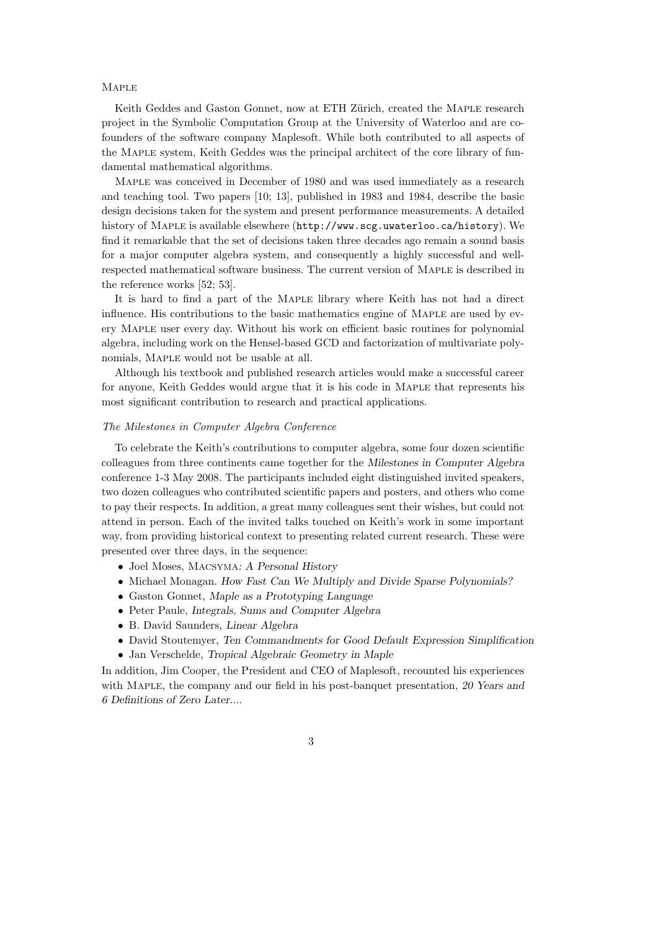#### Maple

Keith Geddes and Gaston Gonnet, now at ETH Zürich, created the MAPLE research project in the Symbolic Computation Group at the University of Waterloo and are cofounders of the software company Maplesoft. While both contributed to all aspects of the Maple system, Keith Geddes was the principal architect of the core library of fundamental mathematical algorithms.

Maple was conceived in December of 1980 and was used immediately as a research and teaching tool. Two papers [10; 13], published in 1983 and 1984, describe the basic design decisions taken for the system and present performance measurements. A detailed history of Maple is available elsewhere (http://www.scg.uwaterloo.ca/history). We find it remarkable that the set of decisions taken three decades ago remain a sound basis for a major computer algebra system, and consequently a highly successful and wellrespected mathematical software business. The current version of Maple is described in the reference works [52; 53].

It is hard to find a part of the Maple library where Keith has not had a direct influence. His contributions to the basic mathematics engine of Maple are used by every Maple user every day. Without his work on efficient basic routines for polynomial algebra, including work on the Hensel-based GCD and factorization of multivariate polynomials, Maple would not be usable at all.

Although his textbook and published research articles would make a successful career for anyone, Keith Geddes would argue that it is his code in Maple that represents his most significant contribution to research and practical applications.

#### The Milestones in Computer Algebra Conference

To celebrate the Keith's contributions to computer algebra, some four dozen scientific colleagues from three continents came together for the Milestones in Computer Algebra conference 1-3 May 2008. The participants included eight distinguished invited speakers, two dozen colleagues who contributed scientific papers and posters, and others who come to pay their respects. In addition, a great many colleagues sent their wishes, but could not attend in person. Each of the invited talks touched on Keith's work in some important way, from providing historical context to presenting related current research. These were presented over three days, in the sequence:

- Joel Moses, Macsyma: A Personal History
- Michael Monagan. How Fast Can We Multiply and Divide Sparse Polynomials?
- Gaston Gonnet, Maple as a Prototyping Language
- Peter Paule, Integrals, Sums and Computer Algebra
- B. David Saunders, Linear Algebra
- David Stoutemyer, Ten Commandments for Good Default Expression Simplification
- Jan Verschelde, Tropical Algebraic Geometry in Maple

In addition, Jim Cooper, the President and CEO of Maplesoft, recounted his experiences with Maple, the company and our field in his post-banquet presentation, 20 Years and 6 Definitions of Zero Later....

3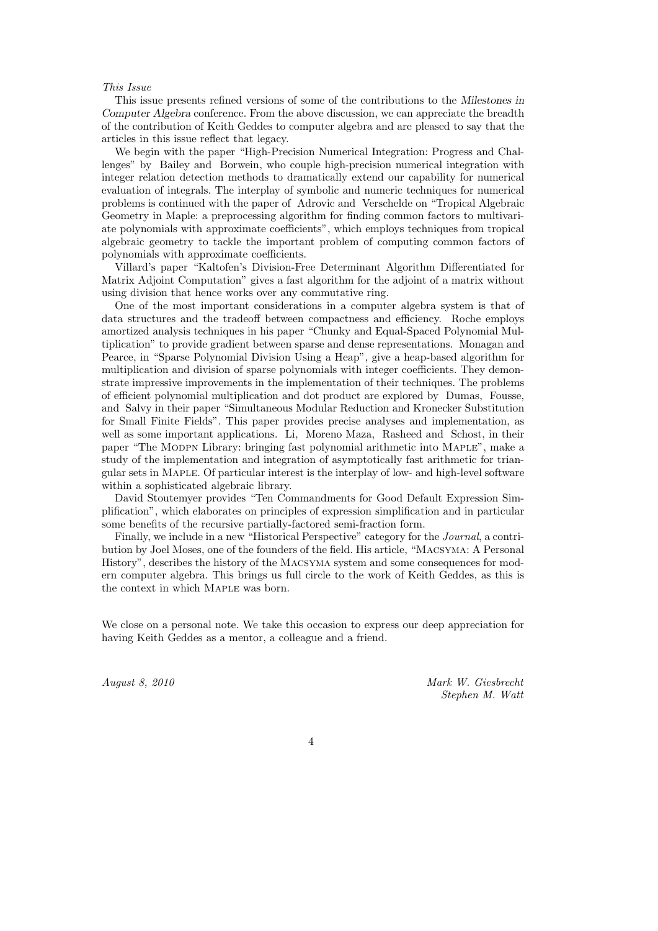#### This Issue

This issue presents refined versions of some of the contributions to the Milestones in Computer Algebra conference. From the above discussion, we can appreciate the breadth of the contribution of Keith Geddes to computer algebra and are pleased to say that the articles in this issue reflect that legacy.

We begin with the paper "High-Precision Numerical Integration: Progress and Challenges" by Bailey and Borwein, who couple high-precision numerical integration with integer relation detection methods to dramatically extend our capability for numerical evaluation of integrals. The interplay of symbolic and numeric techniques for numerical problems is continued with the paper of Adrovic and Verschelde on "Tropical Algebraic Geometry in Maple: a preprocessing algorithm for finding common factors to multivariate polynomials with approximate coefficients", which employs techniques from tropical algebraic geometry to tackle the important problem of computing common factors of polynomials with approximate coefficients.

Villard's paper "Kaltofen's Division-Free Determinant Algorithm Differentiated for Matrix Adjoint Computation" gives a fast algorithm for the adjoint of a matrix without using division that hence works over any commutative ring.

One of the most important considerations in a computer algebra system is that of data structures and the tradeoff between compactness and efficiency. Roche employs amortized analysis techniques in his paper "Chunky and Equal-Spaced Polynomial Multiplication" to provide gradient between sparse and dense representations. Monagan and Pearce, in "Sparse Polynomial Division Using a Heap", give a heap-based algorithm for multiplication and division of sparse polynomials with integer coefficients. They demonstrate impressive improvements in the implementation of their techniques. The problems of efficient polynomial multiplication and dot product are explored by Dumas, Fousse, and Salvy in their paper "Simultaneous Modular Reduction and Kronecker Substitution for Small Finite Fields". This paper provides precise analyses and implementation, as well as some important applications. Li, Moreno Maza, Rasheed and Schost, in their paper "The Modpn Library: bringing fast polynomial arithmetic into Maple", make a study of the implementation and integration of asymptotically fast arithmetic for triangular sets in Maple. Of particular interest is the interplay of low- and high-level software within a sophisticated algebraic library.

David Stoutemyer provides "Ten Commandments for Good Default Expression Simplification", which elaborates on principles of expression simplification and in particular some benefits of the recursive partially-factored semi-fraction form.

Finally, we include in a new "Historical Perspective" category for the Journal, a contribution by Joel Moses, one of the founders of the field. His article, "Macsyma: A Personal History", describes the history of the Macsyma system and some consequences for modern computer algebra. This brings us full circle to the work of Keith Geddes, as this is the context in which Maple was born.

We close on a personal note. We take this occasion to express our deep appreciation for having Keith Geddes as a mentor, a colleague and a friend.

August 8, 2010 Mark W. Giesbrecht Stephen M. Watt

4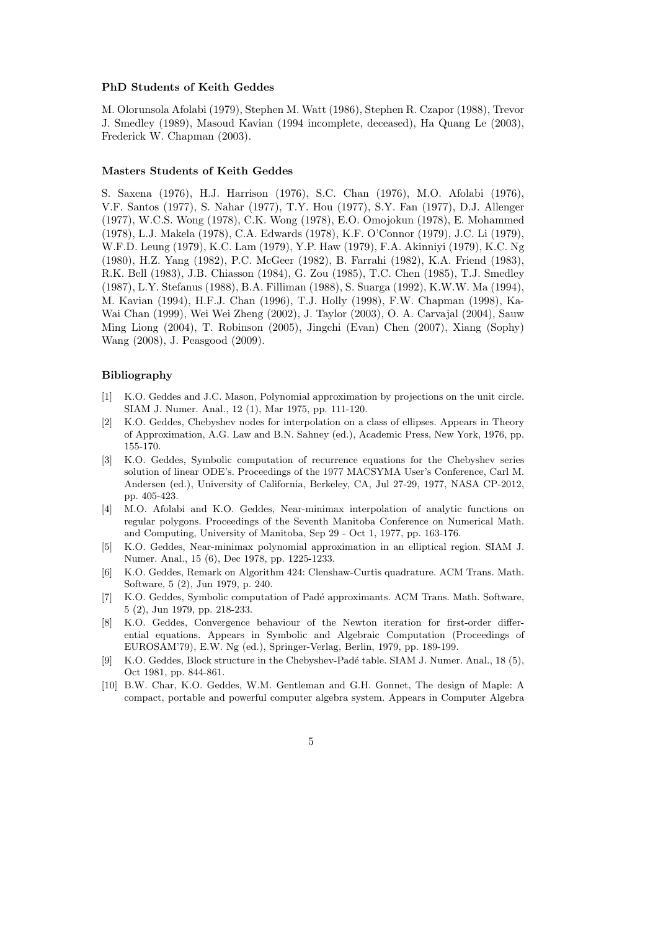## PhD Students of Keith Geddes

M. Olorunsola Afolabi (1979), Stephen M. Watt (1986), Stephen R. Czapor (1988), Trevor J. Smedley (1989), Masoud Kavian (1994 incomplete, deceased), Ha Quang Le (2003), Frederick W. Chapman (2003).

### Masters Students of Keith Geddes

S. Saxena (1976), H.J. Harrison (1976), S.C. Chan (1976), M.O. Afolabi (1976), V.F. Santos (1977), S. Nahar (1977), T.Y. Hou (1977), S.Y. Fan (1977), D.J. Allenger (1977), W.C.S. Wong (1978), C.K. Wong (1978), E.O. Omojokun (1978), E. Mohammed (1978), L.J. Makela (1978), C.A. Edwards (1978), K.F. O'Connor (1979), J.C. Li (1979), W.F.D. Leung (1979), K.C. Lam (1979), Y.P. Haw (1979), F.A. Akinniyi (1979), K.C. Ng (1980), H.Z. Yang (1982), P.C. McGeer (1982), B. Farrahi (1982), K.A. Friend (1983), R.K. Bell (1983), J.B. Chiasson (1984), G. Zou (1985), T.C. Chen (1985), T.J. Smedley (1987), L.Y. Stefanus (1988), B.A. Filliman (1988), S. Suarga (1992), K.W.W. Ma (1994), M. Kavian (1994), H.F.J. Chan (1996), T.J. Holly (1998), F.W. Chapman (1998), Ka-Wai Chan (1999), Wei Wei Zheng (2002), J. Taylor (2003), O. A. Carvajal (2004), Sauw Ming Liong (2004), T. Robinson (2005), Jingchi (Evan) Chen (2007), Xiang (Sophy) Wang (2008), J. Peasgood (2009).

## Bibliography

- [1] K.O. Geddes and J.C. Mason, Polynomial approximation by projections on the unit circle. SIAM J. Numer. Anal., 12 (1), Mar 1975, pp. 111-120.
- [2] K.O. Geddes, Chebyshev nodes for interpolation on a class of ellipses. Appears in Theory of Approximation, A.G. Law and B.N. Sahney (ed.), Academic Press, New York, 1976, pp. 155-170.
- [3] K.O. Geddes, Symbolic computation of recurrence equations for the Chebyshev series solution of linear ODE's. Proceedings of the 1977 MACSYMA User's Conference, Carl M. Andersen (ed.), University of California, Berkeley, CA, Jul 27-29, 1977, NASA CP-2012, pp. 405-423.
- [4] M.O. Afolabi and K.O. Geddes, Near-minimax interpolation of analytic functions on regular polygons. Proceedings of the Seventh Manitoba Conference on Numerical Math. and Computing, University of Manitoba, Sep 29 - Oct 1, 1977, pp. 163-176.
- [5] K.O. Geddes, Near-minimax polynomial approximation in an elliptical region. SIAM J. Numer. Anal., 15 (6), Dec 1978, pp. 1225-1233.
- [6] K.O. Geddes, Remark on Algorithm 424: Clenshaw-Curtis quadrature. ACM Trans. Math. Software, 5 (2), Jun 1979, p. 240.
- [7] K.O. Geddes, Symbolic computation of Padé approximants. ACM Trans. Math. Software, 5 (2), Jun 1979, pp. 218-233.
- [8] K.O. Geddes, Convergence behaviour of the Newton iteration for first-order differential equations. Appears in Symbolic and Algebraic Computation (Proceedings of EUROSAM'79), E.W. Ng (ed.), Springer-Verlag, Berlin, 1979, pp. 189-199.
- [9] K.O. Geddes, Block structure in the Chebyshev-Padé table. SIAM J. Numer. Anal., 18 (5), Oct 1981, pp. 844-861.
- [10] B.W. Char, K.O. Geddes, W.M. Gentleman and G.H. Gonnet, The design of Maple: A compact, portable and powerful computer algebra system. Appears in Computer Algebra
	- 5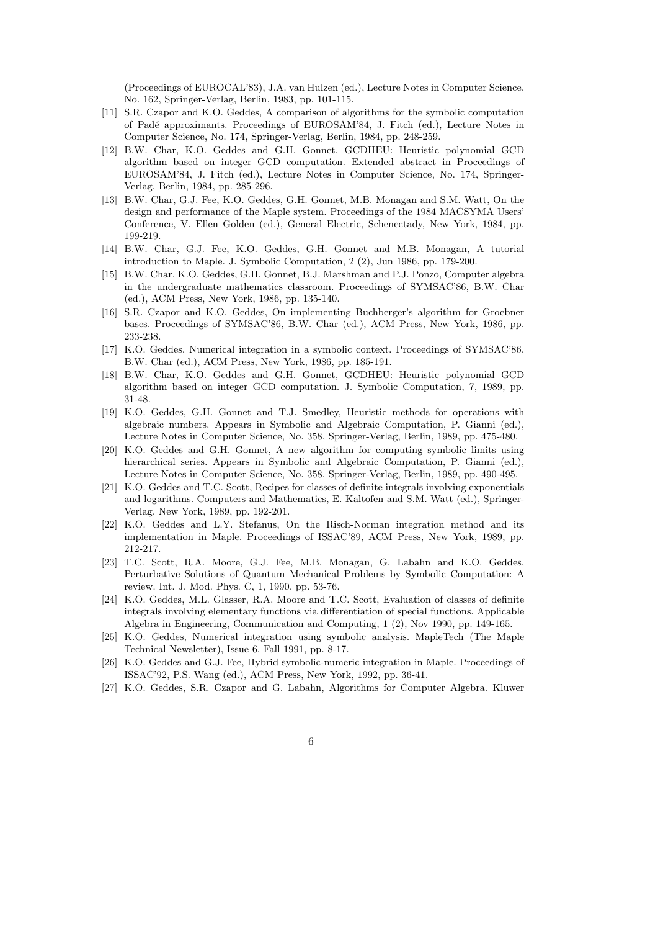(Proceedings of EUROCAL'83), J.A. van Hulzen (ed.), Lecture Notes in Computer Science, No. 162, Springer-Verlag, Berlin, 1983, pp. 101-115.

- [11] S.R. Czapor and K.O. Geddes, A comparison of algorithms for the symbolic computation of Pad´e approximants. Proceedings of EUROSAM'84, J. Fitch (ed.), Lecture Notes in Computer Science, No. 174, Springer-Verlag, Berlin, 1984, pp. 248-259.
- [12] B.W. Char, K.O. Geddes and G.H. Gonnet, GCDHEU: Heuristic polynomial GCD algorithm based on integer GCD computation. Extended abstract in Proceedings of EUROSAM'84, J. Fitch (ed.), Lecture Notes in Computer Science, No. 174, Springer-Verlag, Berlin, 1984, pp. 285-296.
- [13] B.W. Char, G.J. Fee, K.O. Geddes, G.H. Gonnet, M.B. Monagan and S.M. Watt, On the design and performance of the Maple system. Proceedings of the 1984 MACSYMA Users' Conference, V. Ellen Golden (ed.), General Electric, Schenectady, New York, 1984, pp. 199-219.
- [14] B.W. Char, G.J. Fee, K.O. Geddes, G.H. Gonnet and M.B. Monagan, A tutorial introduction to Maple. J. Symbolic Computation, 2 (2), Jun 1986, pp. 179-200.
- [15] B.W. Char, K.O. Geddes, G.H. Gonnet, B.J. Marshman and P.J. Ponzo, Computer algebra in the undergraduate mathematics classroom. Proceedings of SYMSAC'86, B.W. Char (ed.), ACM Press, New York, 1986, pp. 135-140.
- [16] S.R. Czapor and K.O. Geddes, On implementing Buchberger's algorithm for Groebner bases. Proceedings of SYMSAC'86, B.W. Char (ed.), ACM Press, New York, 1986, pp. 233-238.
- [17] K.O. Geddes, Numerical integration in a symbolic context. Proceedings of SYMSAC'86, B.W. Char (ed.), ACM Press, New York, 1986, pp. 185-191.
- [18] B.W. Char, K.O. Geddes and G.H. Gonnet, GCDHEU: Heuristic polynomial GCD algorithm based on integer GCD computation. J. Symbolic Computation, 7, 1989, pp. 31-48.
- [19] K.O. Geddes, G.H. Gonnet and T.J. Smedley, Heuristic methods for operations with algebraic numbers. Appears in Symbolic and Algebraic Computation, P. Gianni (ed.), Lecture Notes in Computer Science, No. 358, Springer-Verlag, Berlin, 1989, pp. 475-480.
- [20] K.O. Geddes and G.H. Gonnet, A new algorithm for computing symbolic limits using hierarchical series. Appears in Symbolic and Algebraic Computation, P. Gianni (ed.), Lecture Notes in Computer Science, No. 358, Springer-Verlag, Berlin, 1989, pp. 490-495.
- [21] K.O. Geddes and T.C. Scott, Recipes for classes of definite integrals involving exponentials and logarithms. Computers and Mathematics, E. Kaltofen and S.M. Watt (ed.), Springer-Verlag, New York, 1989, pp. 192-201.
- [22] K.O. Geddes and L.Y. Stefanus, On the Risch-Norman integration method and its implementation in Maple. Proceedings of ISSAC'89, ACM Press, New York, 1989, pp. 212-217.
- [23] T.C. Scott, R.A. Moore, G.J. Fee, M.B. Monagan, G. Labahn and K.O. Geddes, Perturbative Solutions of Quantum Mechanical Problems by Symbolic Computation: A review. Int. J. Mod. Phys. C, 1, 1990, pp. 53-76.
- [24] K.O. Geddes, M.L. Glasser, R.A. Moore and T.C. Scott, Evaluation of classes of definite integrals involving elementary functions via differentiation of special functions. Applicable Algebra in Engineering, Communication and Computing, 1 (2), Nov 1990, pp. 149-165.
- [25] K.O. Geddes, Numerical integration using symbolic analysis. MapleTech (The Maple Technical Newsletter), Issue 6, Fall 1991, pp. 8-17.
- [26] K.O. Geddes and G.J. Fee, Hybrid symbolic-numeric integration in Maple. Proceedings of ISSAC'92, P.S. Wang (ed.), ACM Press, New York, 1992, pp. 36-41.
- [27] K.O. Geddes, S.R. Czapor and G. Labahn, Algorithms for Computer Algebra. Kluwer
	- 6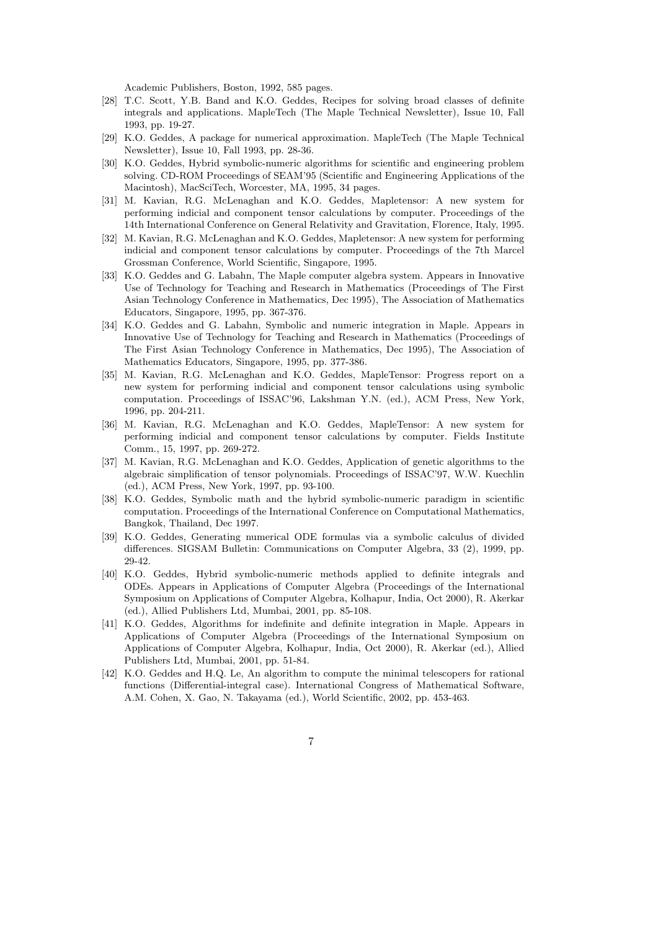Academic Publishers, Boston, 1992, 585 pages.

- [28] T.C. Scott, Y.B. Band and K.O. Geddes, Recipes for solving broad classes of definite integrals and applications. MapleTech (The Maple Technical Newsletter), Issue 10, Fall 1993, pp. 19-27.
- [29] K.O. Geddes, A package for numerical approximation. MapleTech (The Maple Technical Newsletter), Issue 10, Fall 1993, pp. 28-36.
- [30] K.O. Geddes, Hybrid symbolic-numeric algorithms for scientific and engineering problem solving. CD-ROM Proceedings of SEAM'95 (Scientific and Engineering Applications of the Macintosh), MacSciTech, Worcester, MA, 1995, 34 pages.
- [31] M. Kavian, R.G. McLenaghan and K.O. Geddes, Mapletensor: A new system for performing indicial and component tensor calculations by computer. Proceedings of the 14th International Conference on General Relativity and Gravitation, Florence, Italy, 1995.
- [32] M. Kavian, R.G. McLenaghan and K.O. Geddes, Mapletensor: A new system for performing indicial and component tensor calculations by computer. Proceedings of the 7th Marcel Grossman Conference, World Scientific, Singapore, 1995.
- [33] K.O. Geddes and G. Labahn, The Maple computer algebra system. Appears in Innovative Use of Technology for Teaching and Research in Mathematics (Proceedings of The First Asian Technology Conference in Mathematics, Dec 1995), The Association of Mathematics Educators, Singapore, 1995, pp. 367-376.
- [34] K.O. Geddes and G. Labahn, Symbolic and numeric integration in Maple. Appears in Innovative Use of Technology for Teaching and Research in Mathematics (Proceedings of The First Asian Technology Conference in Mathematics, Dec 1995), The Association of Mathematics Educators, Singapore, 1995, pp. 377-386.
- [35] M. Kavian, R.G. McLenaghan and K.O. Geddes, MapleTensor: Progress report on a new system for performing indicial and component tensor calculations using symbolic computation. Proceedings of ISSAC'96, Lakshman Y.N. (ed.), ACM Press, New York, 1996, pp. 204-211.
- [36] M. Kavian, R.G. McLenaghan and K.O. Geddes, MapleTensor: A new system for performing indicial and component tensor calculations by computer. Fields Institute Comm., 15, 1997, pp. 269-272.
- [37] M. Kavian, R.G. McLenaghan and K.O. Geddes, Application of genetic algorithms to the algebraic simplification of tensor polynomials. Proceedings of ISSAC'97, W.W. Kuechlin (ed.), ACM Press, New York, 1997, pp. 93-100.
- [38] K.O. Geddes, Symbolic math and the hybrid symbolic-numeric paradigm in scientific computation. Proceedings of the International Conference on Computational Mathematics, Bangkok, Thailand, Dec 1997.
- [39] K.O. Geddes, Generating numerical ODE formulas via a symbolic calculus of divided differences. SIGSAM Bulletin: Communications on Computer Algebra, 33 (2), 1999, pp. 29-42.
- [40] K.O. Geddes, Hybrid symbolic-numeric methods applied to definite integrals and ODEs. Appears in Applications of Computer Algebra (Proceedings of the International Symposium on Applications of Computer Algebra, Kolhapur, India, Oct 2000), R. Akerkar (ed.), Allied Publishers Ltd, Mumbai, 2001, pp. 85-108.
- [41] K.O. Geddes, Algorithms for indefinite and definite integration in Maple. Appears in Applications of Computer Algebra (Proceedings of the International Symposium on Applications of Computer Algebra, Kolhapur, India, Oct 2000), R. Akerkar (ed.), Allied Publishers Ltd, Mumbai, 2001, pp. 51-84.
- [42] K.O. Geddes and H.Q. Le, An algorithm to compute the minimal telescopers for rational functions (Differential-integral case). International Congress of Mathematical Software, A.M. Cohen, X. Gao, N. Takayama (ed.), World Scientific, 2002, pp. 453-463.
	- 7